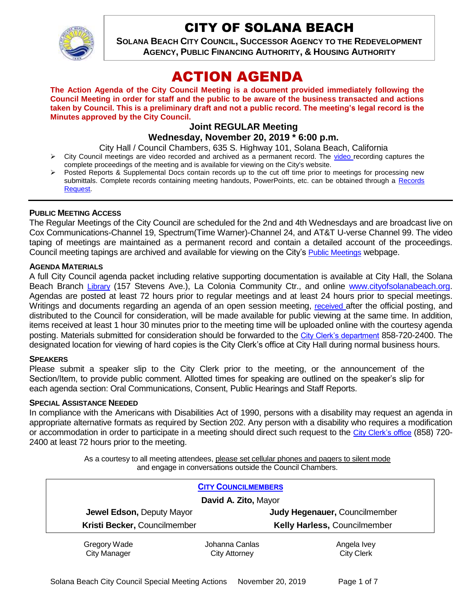

# CITY OF SOLANA BEACH

**SOLANA BEACH CITY COUNCIL, SUCCESSOR AGENCY TO THE REDEVELOPMENT AGENCY, PUBLIC FINANCING AUTHORITY, & HOUSING AUTHORITY** 

# ACTION AGENDA

**The Action Agenda of the City Council Meeting is a document provided immediately following the Council Meeting in order for staff and the public to be aware of the business transacted and actions taken by Council. This is a preliminary draft and not a public record. The meeting's legal record is the Minutes approved by the City Council.**

# **Joint REGULAR Meeting**

## **Wednesday, November 20, 2019 \* 6:00 p.m.**

City Hall / Council Chambers, 635 S. Highway 101, Solana Beach, California

- $\triangleright$  City Council meetings are [video r](https://solanabeach.12milesout.com/#page=1)ecorded and archived as a permanent record. The video recording captures the complete proceedings of the meeting and is available for viewing on the City's website.
- Posted Reports & Supplemental Docs contain records up to the cut off time prior to meetings for processing new submittals. Complete records containing meeting handouts, PowerPoints, etc. can be obtained through a [Records](http://www.ci.solana-beach.ca.us/index.asp?SEC=F5D45D10-70CE-4291-A27C-7BD633FC6742&Type=B_BASIC)  [Request.](http://www.ci.solana-beach.ca.us/index.asp?SEC=F5D45D10-70CE-4291-A27C-7BD633FC6742&Type=B_BASIC)

#### **PUBLIC MEETING ACCESS**

The Regular Meetings of the City Council are scheduled for the 2nd and 4th Wednesdays and are broadcast live on Cox Communications-Channel 19, Spectrum(Time Warner)-Channel 24, and AT&T U-verse Channel 99. The video taping of meetings are maintained as a permanent record and contain a detailed account of the proceedings. Council meeting tapings are archived and available for viewing on the City's [Public Meetings](https://www.ci.solana-beach.ca.us/index.asp?SEC=F0F1200D-21C6-4A88-8AE1-0BC07C1A81A7&Type=B_BASIC) webpage.

#### **AGENDA MATERIALS**

A full City Council agenda packet including relative supporting documentation is available at City Hall, the Solana Beach Branch [Library](http://www.sdcl.org/locations_SB.html) (157 Stevens Ave.), La Colonia Community Ctr., and online [www.cityofsolanabeach.org.](http://www.cityofsolanabeach.org/) Agendas are posted at least 72 hours prior to regular meetings and at least 24 hours prior to special meetings. Writings and documents regarding an agenda of an open session meeting, [received](mailto:EMAILGRP-CityClerksOfc@cosb.org) after the official posting, and distributed to the Council for consideration, will be made available for public viewing at the same time. In addition, items received at least 1 hour 30 minutes prior to the meeting time will be uploaded online with the courtesy agenda posting. Materials submitted for consideration should be forwarded to the [City Clerk's department](mailto:EMAILGRP-CityClerksOfc@cosb.org) 858-720-2400. The designated location for viewing of hard copies is the City Clerk's office at City Hall during normal business hours.

#### **SPEAKERS**

Please submit a speaker slip to the City Clerk prior to the meeting, or the announcement of the Section/Item, to provide public comment. Allotted times for speaking are outlined on the speaker's slip for each agenda section: Oral Communications, Consent, Public Hearings and Staff Reports.

#### **SPECIAL ASSISTANCE NEEDED**

In compliance with the Americans with Disabilities Act of 1990, persons with a disability may request an agenda in appropriate alternative formats as required by Section 202. Any person with a disability who requires a modification or accommodation in order to participate in a meeting should direct such request to the [City Clerk's office](mailto:clerkadmin@cosb.org?subject=City%20Clerk%20Notice%20of%20Special%20Services%20Needed) (858) 720- 2400 at least 72 hours prior to the meeting.

> As a courtesy to all meeting attendees, please set cellular phones and pagers to silent mode and engage in conversations outside the Council Chambers.

| <b>CITY COUNCILMEMBERS</b>   |                      |                                     |
|------------------------------|----------------------|-------------------------------------|
| David A. Zito, Mayor         |                      |                                     |
| Jewel Edson, Deputy Mayor    |                      | Judy Hegenauer, Councilmember       |
| Kristi Becker, Councilmember |                      | <b>Kelly Harless, Councilmember</b> |
| Gregory Wade                 | Johanna Canlas       | Angela Ivey                         |
| <b>City Manager</b>          | <b>City Attorney</b> | <b>City Clerk</b>                   |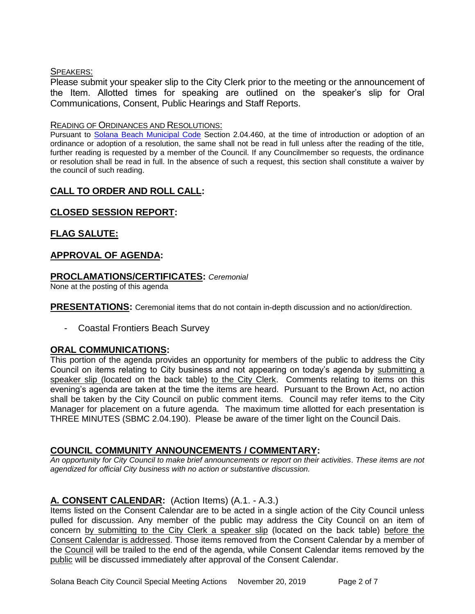#### SPEAKERS:

Please submit your speaker slip to the City Clerk prior to the meeting or the announcement of the Item. Allotted times for speaking are outlined on the speaker's slip for Oral Communications, Consent, Public Hearings and Staff Reports.

#### READING OF ORDINANCES AND RESOLUTIONS:

Pursuant to [Solana Beach Municipal Code](mailto:https://www.codepublishing.com/CA/SolanaBeach/) Section 2.04.460, at the time of introduction or adoption of an ordinance or adoption of a resolution, the same shall not be read in full unless after the reading of the title, further reading is requested by a member of the Council. If any Councilmember so requests, the ordinance or resolution shall be read in full. In the absence of such a request, this section shall constitute a waiver by the council of such reading.

# **CALL TO ORDER AND ROLL CALL:**

# **CLOSED SESSION REPORT:**

# **FLAG SALUTE:**

# **APPROVAL OF AGENDA:**

## **PROCLAMATIONS/CERTIFICATES:** *Ceremonial*

None at the posting of this agenda

**PRESENTATIONS:** Ceremonial items that do not contain in-depth discussion and no action/direction.

- Coastal Frontiers Beach Survey

## **ORAL COMMUNICATIONS:**

This portion of the agenda provides an opportunity for members of the public to address the City Council on items relating to City business and not appearing on today's agenda by submitting a speaker slip (located on the back table) to the City Clerk. Comments relating to items on this evening's agenda are taken at the time the items are heard. Pursuant to the Brown Act, no action shall be taken by the City Council on public comment items. Council may refer items to the City Manager for placement on a future agenda. The maximum time allotted for each presentation is THREE MINUTES (SBMC 2.04.190). Please be aware of the timer light on the Council Dais.

# **COUNCIL COMMUNITY ANNOUNCEMENTS / COMMENTARY:**

*An opportunity for City Council to make brief announcements or report on their activities. These items are not agendized for official City business with no action or substantive discussion.* 

# **A. CONSENT CALENDAR:** (Action Items) (A.1. - A.3.)

Items listed on the Consent Calendar are to be acted in a single action of the City Council unless pulled for discussion. Any member of the public may address the City Council on an item of concern by submitting to the City Clerk a speaker slip (located on the back table) before the Consent Calendar is addressed. Those items removed from the Consent Calendar by a member of the Council will be trailed to the end of the agenda, while Consent Calendar items removed by the public will be discussed immediately after approval of the Consent Calendar.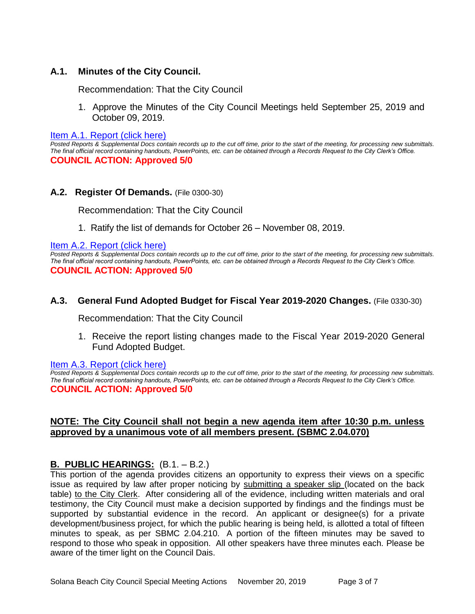### **A.1. Minutes of the City Council.**

Recommendation: That the City Council

1. Approve the Minutes of the City Council Meetings held September 25, 2019 and October 09, 2019.

[Item A.1. Report \(click here\)](https://solanabeach.govoffice3.com/vertical/Sites/%7B840804C2-F869-4904-9AE3-720581350CE7%7D/uploads/Item_A.1._Report_(click_here)_11-20-19_-_O.pdf) 

*Posted Reports & Supplemental Docs contain records up to the cut off time, prior to the start of the meeting, for processing new submittals. The final official record containing handouts, PowerPoints, etc. can be obtained through a Records Request to the City Clerk's Office.* **COUNCIL ACTION: Approved 5/0**

#### **A.2. Register Of Demands.** (File 0300-30)

Recommendation: That the City Council

1. Ratify the list of demands for October 26 – November 08, 2019.

Item A.2. Report (click here)

*Posted Reports & Supplemental Docs contain records up to the cut off time, prior to the start of the meeting, for processing new submittals. The final official record containing handouts, PowerPoints, etc. can be obtained through a Records Request to the City Clerk's Office.* **COUNCIL ACTION: Approved 5/0**

#### **A.3. General Fund Adopted Budget for Fiscal Year 2019-2020 Changes.** (File 0330-30)

Recommendation: That the City Council

1. Receive the report listing changes made to the Fiscal Year 2019-2020 General Fund Adopted Budget.

#### [Item A.3. Report \(click here\)](https://solanabeach.govoffice3.com/vertical/Sites/%7B840804C2-F869-4904-9AE3-720581350CE7%7D/uploads/Item_A.3._Report_(click_here)_11-20-19_-_O.pdf)

*Posted Reports & Supplemental Docs contain records up to the cut off time, prior to the start of the meeting, for processing new submittals. The final official record containing handouts, PowerPoints, etc. can be obtained through a Records Request to the City Clerk's Office.* **COUNCIL ACTION: Approved 5/0**

#### **NOTE: The City Council shall not begin a new agenda item after 10:30 p.m. unless approved by a unanimous vote of all members present. (SBMC 2.04.070)**

#### **B. PUBLIC HEARINGS:** (B.1. – B.2.)

This portion of the agenda provides citizens an opportunity to express their views on a specific issue as required by law after proper noticing by submitting a speaker slip (located on the back table) to the City Clerk. After considering all of the evidence, including written materials and oral testimony, the City Council must make a decision supported by findings and the findings must be supported by substantial evidence in the record. An applicant or designee(s) for a private development/business project, for which the public hearing is being held, is allotted a total of fifteen minutes to speak, as per SBMC 2.04.210. A portion of the fifteen minutes may be saved to respond to those who speak in opposition. All other speakers have three minutes each. Please be aware of the timer light on the Council Dais.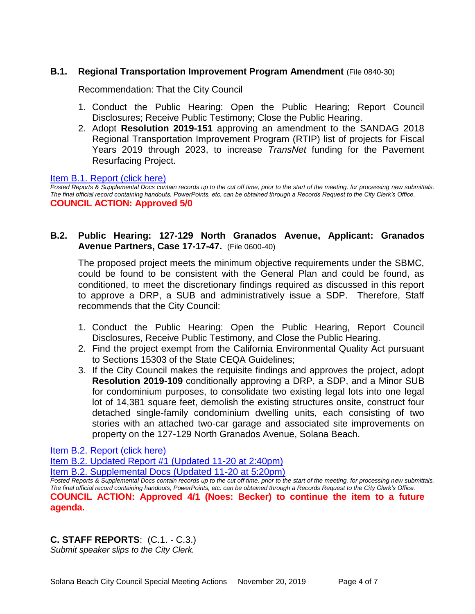## **B.1. Regional Transportation Improvement Program Amendment** (File 0840-30)

Recommendation: That the City Council

- 1. Conduct the Public Hearing: Open the Public Hearing; Report Council Disclosures; Receive Public Testimony; Close the Public Hearing.
- 2. Adopt **Resolution 2019-151** approving an amendment to the SANDAG 2018 Regional Transportation Improvement Program (RTIP) list of projects for Fiscal Years 2019 through 2023, to increase *TransNet* funding for the Pavement Resurfacing Project.

#### [Item B.1. Report \(click here\)](https://solanabeach.govoffice3.com/vertical/Sites/%7B840804C2-F869-4904-9AE3-720581350CE7%7D/uploads/Item_B.1._Report_(click_here)_11-20-19_-_O.pdf)

*Posted Reports & Supplemental Docs contain records up to the cut off time, prior to the start of the meeting, for processing new submittals. The final official record containing handouts, PowerPoints, etc. can be obtained through a Records Request to the City Clerk's Office.* **COUNCIL ACTION: Approved 5/0**

## **B.2. Public Hearing: 127-129 North Granados Avenue, Applicant: Granados Avenue Partners, Case 17-17-47.** (File 0600-40)

The proposed project meets the minimum objective requirements under the SBMC, could be found to be consistent with the General Plan and could be found, as conditioned, to meet the discretionary findings required as discussed in this report to approve a DRP, a SUB and administratively issue a SDP. Therefore, Staff recommends that the City Council:

- 1. Conduct the Public Hearing: Open the Public Hearing, Report Council Disclosures, Receive Public Testimony, and Close the Public Hearing.
- 2. Find the project exempt from the California Environmental Quality Act pursuant to Sections 15303 of the State CEQA Guidelines;
- 3. If the City Council makes the requisite findings and approves the project, adopt **Resolution 2019-109** conditionally approving a DRP, a SDP, and a Minor SUB for condominium purposes, to consolidate two existing legal lots into one legal lot of 14,381 square feet, demolish the existing structures onsite, construct four detached single-family condominium dwelling units, each consisting of two stories with an attached two-car garage and associated site improvements on property on the 127-129 North Granados Avenue, Solana Beach.

[Item B.2. Report \(click here\)](https://solanabeach.govoffice3.com/vertical/Sites/%7B840804C2-F869-4904-9AE3-720581350CE7%7D/uploads/Item_B.2._Report_(click_here)_11-20-19_Redacted.pdf) 

[Item B.2. Updated Report #1 \(Updated 11-20 at 2:40pm\)](https://solanabeach.govoffice3.com/vertical/Sites/%7B840804C2-F869-4904-9AE3-720581350CE7%7D/uploads/Item_B.2._Updated_Report_1_-_11-20-19.pdf)

[Item B.2. Supplemental Docs \(Updated 11-20](https://solanabeach.govoffice3.com/vertical/Sites/%7B840804C2-F869-4904-9AE3-720581350CE7%7D/uploads/Item_B.2._Supplemental_Items_(Upd._11-19_at_530pm)_-_O.pdf) at 5:20pm)

*Posted Reports & Supplemental Docs contain records up to the cut off time, prior to the start of the meeting, for processing new submittals. The final official record containing handouts, PowerPoints, etc. can be obtained through a Records Request to the City Clerk's Office.* **COUNCIL ACTION: Approved 4/1 (Noes: Becker) to continue the item to a future agenda.**

## **C. STAFF REPORTS**: (C.1. - C.3.)

*Submit speaker slips to the City Clerk.*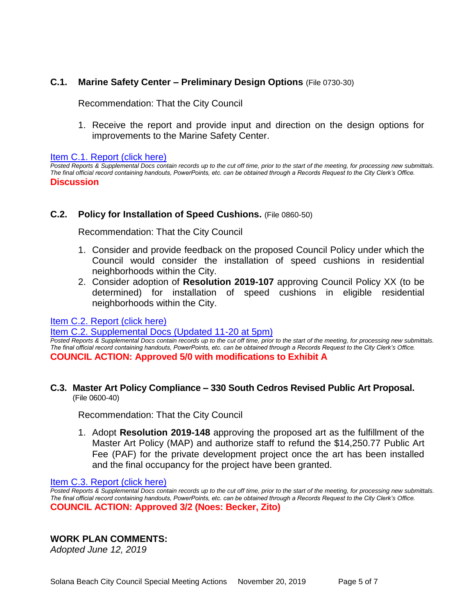## **C.1. Marine Safety Center – Preliminary Design Options** (File 0730-30)

Recommendation: That the City Council

1. Receive the report and provide input and direction on the design options for improvements to the Marine Safety Center.

#### [Item C.1. Report \(click here\)](https://solanabeach.govoffice3.com/vertical/Sites/%7B840804C2-F869-4904-9AE3-720581350CE7%7D/uploads/Item_C.1._Report_(click_here)_11-20-19_-_O.pdf)

*Posted Reports & Supplemental Docs contain records up to the cut off time, prior to the start of the meeting, for processing new submittals. The final official record containing handouts, PowerPoints, etc. can be obtained through a Records Request to the City Clerk's Office.* **Discussion**

#### **C.2. Policy for Installation of Speed Cushions.** (File 0860-50)

Recommendation: That the City Council

- 1. Consider and provide feedback on the proposed Council Policy under which the Council would consider the installation of speed cushions in residential neighborhoods within the City.
- 2. Consider adoption of **Resolution 2019-107** approving Council Policy XX (to be determined) for installation of speed cushions in eligible residential neighborhoods within the City.

#### Item C.2. [Report \(click here\)](https://solanabeach.govoffice3.com/vertical/Sites/%7B840804C2-F869-4904-9AE3-720581350CE7%7D/uploads/Item_C.2._Report_(click_here)_11-20-19_-_O.pdf)

# [Item C.2. Supplemental Docs \(Updated 11-20 at 5pm\)](https://solanabeach.govoffice3.com/vertical/Sites/%7B840804C2-F869-4904-9AE3-720581350CE7%7D/uploads/Item_C.2._Supplemental_Docs_(Upd_11-20).pdf)

*Posted Reports & Supplemental Docs contain records up to the cut off time, prior to the start of the meeting, for processing new submittals. The final official record containing handouts, PowerPoints, etc. can be obtained through a Records Request to the City Clerk's Office.* **COUNCIL ACTION: Approved 5/0 with modifications to Exhibit A**

#### **C.3. Master Art Policy Compliance – 330 South Cedros Revised Public Art Proposal.** (File 0600-40)

Recommendation: That the City Council

1. Adopt **Resolution 2019-148** approving the proposed art as the fulfillment of the Master Art Policy (MAP) and authorize staff to refund the \$14,250.77 Public Art Fee (PAF) for the private development project once the art has been installed and the final occupancy for the project have been granted.

[Item C.3. Report \(click here\)](https://solanabeach.govoffice3.com/vertical/Sites/%7B840804C2-F869-4904-9AE3-720581350CE7%7D/uploads/Item_C.3._Report_(click_here)_11-20-19_-_O.pdf) 

**Posted Reports & Supplemental Docs contain records up to the cut off time, prior to the start of the meeting, for processing new submittals.** *The final official record containing handouts, PowerPoints, etc. can be obtained through a Records Request to the City Clerk's Office.* **COUNCIL ACTION: Approved 3/2 (Noes: Becker, Zito)**

#### **WORK PLAN COMMENTS:**

*Adopted June 12, 2019*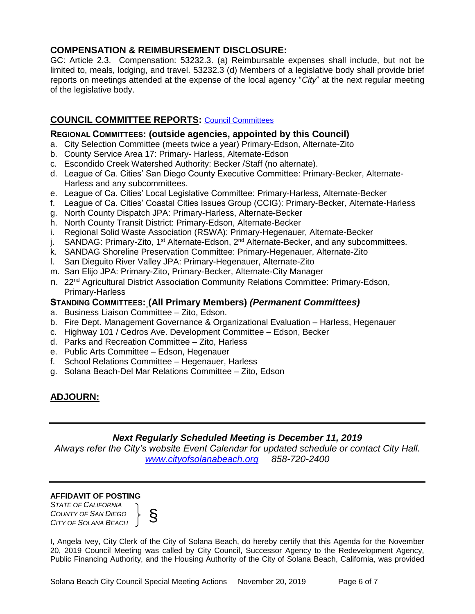## **COMPENSATION & REIMBURSEMENT DISCLOSURE:**

GC: Article 2.3. Compensation: 53232.3. (a) Reimbursable expenses shall include, but not be limited to, meals, lodging, and travel. 53232.3 (d) Members of a legislative body shall provide brief reports on meetings attended at the expense of the local agency "*City*" at the next regular meeting of the legislative body.

# **COUNCIL COMMITTEE REPORTS:** [Council Committees](https://www.ci.solana-beach.ca.us/index.asp?SEC=584E1192-3850-46EA-B977-088AC3E81E0D&Type=B_BASIC)

## **REGIONAL COMMITTEES: (outside agencies, appointed by this Council)**

- a. City Selection Committee (meets twice a year) Primary-Edson, Alternate-Zito
- b. County Service Area 17: Primary- Harless, Alternate-Edson
- c. Escondido Creek Watershed Authority: Becker /Staff (no alternate).
- d. League of Ca. Cities' San Diego County Executive Committee: Primary-Becker, Alternate-Harless and any subcommittees.
- e. League of Ca. Cities' Local Legislative Committee: Primary-Harless, Alternate-Becker
- f. League of Ca. Cities' Coastal Cities Issues Group (CCIG): Primary-Becker, Alternate-Harless
- g. North County Dispatch JPA: Primary-Harless, Alternate-Becker
- h. North County Transit District: Primary-Edson, Alternate-Becker
- i. Regional Solid Waste Association (RSWA): Primary-Hegenauer, Alternate-Becker
- j. SANDAG: Primary-Zito, 1<sup>st</sup> Alternate-Edson, 2<sup>nd</sup> Alternate-Becker, and any subcommittees.
- k. SANDAG Shoreline Preservation Committee: Primary-Hegenauer, Alternate-Zito
- l. San Dieguito River Valley JPA: Primary-Hegenauer, Alternate-Zito
- m. San Elijo JPA: Primary-Zito, Primary-Becker, Alternate-City Manager
- n. 22<sup>nd</sup> Agricultural District Association Community Relations Committee: Primary-Edson, Primary-Harless

### **STANDING COMMITTEES: (All Primary Members)** *(Permanent Committees)*

- a. Business Liaison Committee Zito, Edson.
- b. Fire Dept. Management Governance & Organizational Evaluation Harless, Hegenauer
- c. Highway 101 / Cedros Ave. Development Committee Edson, Becker
- d. Parks and Recreation Committee Zito, Harless
- e. Public Arts Committee Edson, Hegenauer
- f. School Relations Committee Hegenauer, Harless
- g. Solana Beach-Del Mar Relations Committee Zito, Edson

# **ADJOURN:**

## *Next Regularly Scheduled Meeting is December 11, 2019*

*Always refer the City's website Event Calendar for updated schedule or contact City Hall. [www.cityofsolanabeach.org](http://www.cityofsolanabeach.org/) 858-720-2400*

#### **AFFIDAVIT OF POSTING**

*STATE OF CALIFORNIA COUNTY OF SAN DIEGO COUNTY OF SAN DIEGO*<br>*CITY OF SOLANA BEACH*  $\Big\}$ 



I, Angela Ivey, City Clerk of the City of Solana Beach, do hereby certify that this Agenda for the November 20, 2019 Council Meeting was called by City Council, Successor Agency to the Redevelopment Agency, Public Financing Authority, and the Housing Authority of the City of Solana Beach, California, was provided